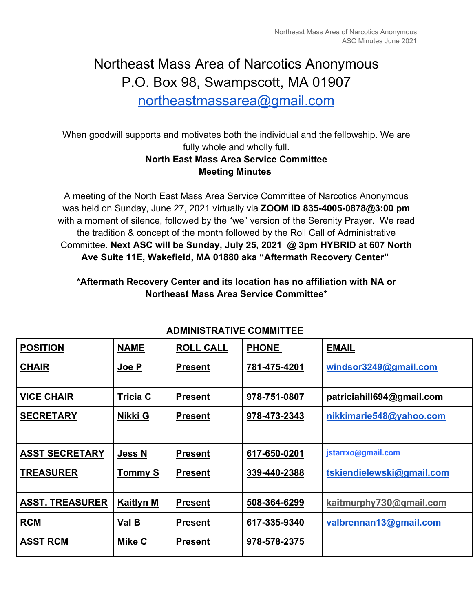# Northeast Mass Area of Narcotics Anonymous P.O. Box 98, Swampscott, MA 01907

northeastmassarea@gmail.com

When goodwill supports and motivates both the individual and the fellowship. We are fully whole and wholly full. **North East Mass Area Service Committee**

# **Meeting Minutes**

A meeting of the North East Mass Area Service Committee of Narcotics Anonymous was held on Sunday, June 27, 2021 virtually via **ZOOM ID 835-4005-0878@3:00 pm**  with a moment of silence, followed by the "we" version of the Serenity Prayer. We read the tradition & concept of the month followed by the Roll Call of Administrative Committee. **Next ASC will be Sunday, July 25, 2021 @ 3pm HYBRID at 607 North Ave Suite 11E, Wakefield, MA 01880 aka "Aftermath Recovery Center"** 

## **\*Aftermath Recovery Center and its location has no affiliation with NA or Northeast Mass Area Service Committee\***

| <b>POSITION</b>        | <b>NAME</b>      | <b>ROLL CALL</b> | <b>PHONE</b> | <b>EMAIL</b>              |  |
|------------------------|------------------|------------------|--------------|---------------------------|--|
| <b>CHAIR</b>           | Joe P            | <b>Present</b>   | 781-475-4201 | windsor3249@gmail.com     |  |
| <b>VICE CHAIR</b>      | <b>Tricia C</b>  | <b>Present</b>   | 978-751-0807 | patriciahill694@gmail.com |  |
| <b>SECRETARY</b>       | Nikki G          | <b>Present</b>   | 978-473-2343 | nikkimarie548@yahoo.com   |  |
|                        |                  |                  |              |                           |  |
| <b>ASST SECRETARY</b>  | <b>Jess N</b>    | <b>Present</b>   | 617-650-0201 | jstarrxo@gmail.com        |  |
| <b>TREASURER</b>       | <b>Tommy S</b>   | <b>Present</b>   | 339-440-2388 | tskiendielewski@gmail.com |  |
| <b>ASST. TREASURER</b> | <b>Kaitlyn M</b> | <b>Present</b>   | 508-364-6299 | kaitmurphy730@gmail.com   |  |
| <b>RCM</b>             | Val B            | <b>Present</b>   | 617-335-9340 | valbrennan13@gmail.com    |  |
| <b>ASST RCM</b>        | Mike C           | <b>Present</b>   | 978-578-2375 |                           |  |
|                        |                  |                  |              |                           |  |

## **ADMINISTRATIVE COMMITTEE**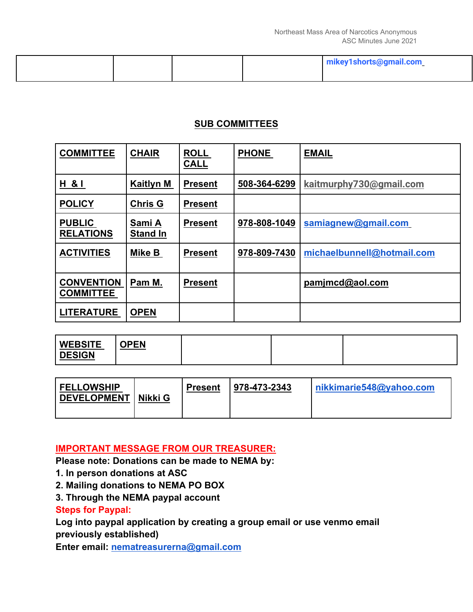|  |  | mikey1shorts@gmail.com |
|--|--|------------------------|
|  |  |                        |

## **SUB COMMITTEES**

| <b>COMMITTEE</b>                      | <b>CHAIR</b>              | <b>ROLL</b><br><b>CALL</b> | <b>PHONE</b> | <b>EMAIL</b>               |
|---------------------------------------|---------------------------|----------------------------|--------------|----------------------------|
| H & I                                 | <b>Kaitlyn M</b>          | <b>Present</b>             | 508-364-6299 | kaitmurphy730@gmail.com    |
| <b>POLICY</b>                         | <b>Chris G</b>            | <b>Present</b>             |              |                            |
| <b>PUBLIC</b><br><b>RELATIONS</b>     | Sami A<br><b>Stand In</b> | <b>Present</b>             | 978-808-1049 | samiagnew@gmail.com        |
| <b>ACTIVITIES</b>                     | Mike B                    | <b>Present</b>             | 978-809-7430 | michaelbunnell@hotmail.com |
| <b>CONVENTION</b><br><b>COMMITTEE</b> | Pam M.                    | <b>Present</b>             |              | pamjmcd@aol.com            |
| <b>LITERATURE</b>                     | <b>OPEN</b>               |                            |              |                            |

| <b>WEBSITE</b><br><u>)PEN</u><br>U٢<br><b>DESIGN</b> |  |  |  |
|------------------------------------------------------|--|--|--|
|------------------------------------------------------|--|--|--|

| <b>FELLOWSHIP</b><br>DEVELOPMENT<br>Nikki G | <b>Present</b> | $978 - 473 - 2343$ | nikkimarie548@yahoo.com |  |
|---------------------------------------------|----------------|--------------------|-------------------------|--|
|                                             |                |                    |                         |  |

## **IMPORTANT MESSAGE FROM OUR TREASURER:**

**Please note: Donations can be made to NEMA by:** 

- **1. In person donations at ASC**
- **2. Mailing donations to NEMA PO BOX**
- **3. Through the NEMA paypal account**

## **Steps for Paypal:**

**Log into paypal application by creating a group email or use venmo email previously established)** 

**Enter email: nematreasurerna@gmail.com**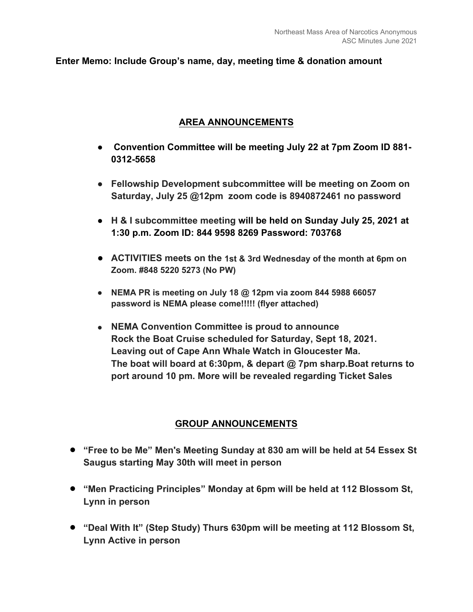#### **Enter Memo: Include Group's name, day, meeting time & donation amount**

#### **AREA ANNOUNCEMENTS**

- ● **Convention Committee will be meeting July 22 at 7pm Zoom ID 881- 0312-5658**
- **Fellowship Development subcommittee will be meeting on Zoom on Saturday, July 25 @12pm zoom code is 8940872461 no password**
- **H & I subcommittee meeting will be held on Sunday July 25, 2021 at 1:30 p.m. Zoom ID: 844 9598 8269 Password: 703768**
- **ACTIVITIES meets on the 1st & 3rd Wednesday of the month at 6pm on Zoom. #848 5220 5273 (No PW)**
- **NEMA PR is meeting on July 18 @ 12pm via zoom 844 5988 66057 password is NEMA please come!!!!! (flyer attached)**
- **NEMA Convention Committee is proud to announce Rock the Boat Cruise scheduled for Saturday, Sept 18, 2021. Leaving out of Cape Ann Whale Watch in Gloucester Ma. The boat will board at 6:30pm, & depart @ 7pm sharp.Boat returns to port around 10 pm. More will be revealed regarding Ticket Sales**

#### **GROUP ANNOUNCEMENTS**

- **"Free to be Me" Men's Meeting Sunday at 830 am will be held at 54 Essex St Saugus starting May 30th will meet in person**
- **"Men Practicing Principles" Monday at 6pm will be held at 112 Blossom St, Lynn in person**
- **"Deal With It" (Step Study) Thurs 630pm will be meeting at 112 Blossom St, Lynn Active in person**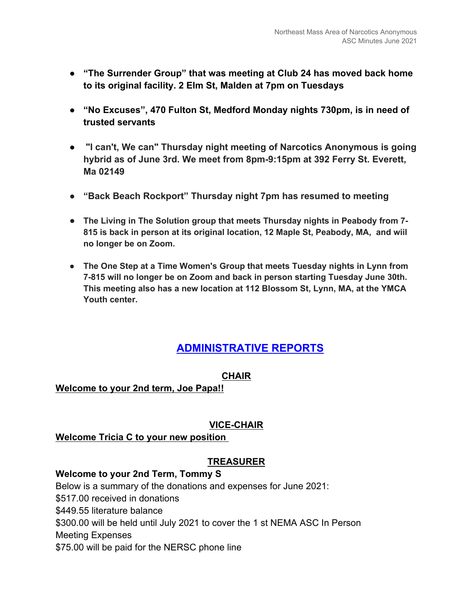- **"The Surrender Group" that was meeting at Club 24 has moved back home to its original facility. 2 Elm St, Malden at 7pm on Tuesdays**
- **"No Excuses", 470 Fulton St, Medford Monday nights 730pm, is in need of trusted servants**
- **"I can't, We can" Thursday night meeting of Narcotics Anonymous is going hybrid as of June 3rd. We meet from 8pm-9:15pm at 392 Ferry St. Everett, Ma 02149**
- **"Back Beach Rockport" Thursday night 7pm has resumed to meeting**
- **The Living in The Solution group that meets Thursday nights in Peabody from 7- 815 is back in person at its original location, 12 Maple St, Peabody, MA, and wiil no longer be on Zoom.**
- **The One Step at a Time Women's Group that meets Tuesday nights in Lynn from 7-815 will no longer be on Zoom and back in person starting Tuesday June 30th. This meeting also has a new location at 112 Blossom St, Lynn, MA, at the YMCA Youth center.**

# **ADMINISTRATIVE REPORTS**

#### **CHAIR**

#### **Welcome to your 2nd term, Joe Papa!!**

#### **VICE-CHAIR**

#### **Welcome Tricia C to your new position**

#### **TREASURER**

#### **Welcome to your 2nd Term, Tommy S**

Below is a summary of the donations and expenses for June 2021: \$517.00 received in donations \$449.55 literature balance \$300.00 will be held until July 2021 to cover the 1 st NEMA ASC In Person Meeting Expenses \$75.00 will be paid for the NERSC phone line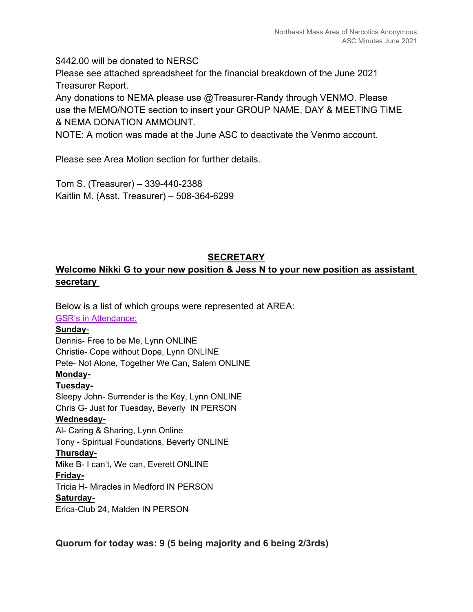\$442.00 will be donated to NERSC

Please see attached spreadsheet for the financial breakdown of the June 2021 Treasurer Report.

Any donations to NEMA please use @Treasurer-Randy through VENMO. Please use the MEMO/NOTE section to insert your GROUP NAME, DAY & MEETING TIME & NEMA DONATION AMMOUNT.

NOTE: A motion was made at the June ASC to deactivate the Venmo account.

Please see Area Motion section for further details.

Tom S. (Treasurer) – 339-440-2388 Kaitlin M. (Asst. Treasurer) – 508-364-6299

#### **SECRETARY**

## **Welcome Nikki G to your new position & Jess N to your new position as assistant secretary**

Below is a list of which groups were represented at AREA: GSR's in Attendance: **Sunday**- Dennis- Free to be Me, Lynn ONLINE Christie- Cope without Dope, Lynn ONLINE Pete- Not Alone, Together We Can, Salem ONLINE **Monday-Tuesday-**Sleepy John- Surrender is the Key, Lynn ONLINE Chris G- Just for Tuesday, Beverly IN PERSON **Wednesday-**Al- Caring & Sharing, Lynn Online Tony - Spiritual Foundations, Beverly ONLINE **Thursday-**Mike B- I can't, We can, Everett ONLINE **Friday-**Tricia H- Miracles in Medford IN PERSON **Saturday-**Erica-Club 24, Malden IN PERSON

**Quorum for today was: 9 (5 being majority and 6 being 2/3rds)**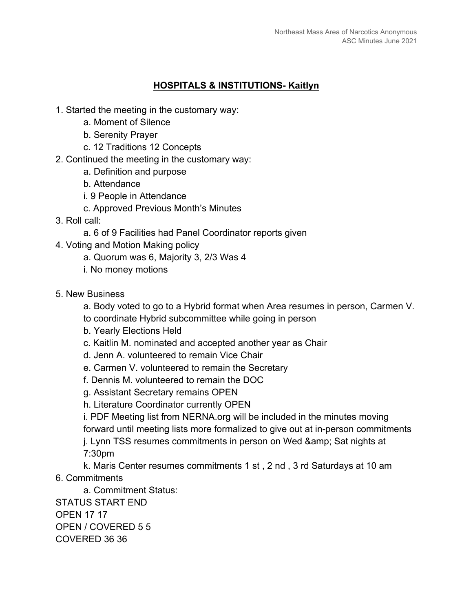#### **HOSPITALS & INSTITUTIONS- Kaitlyn**

- 1. Started the meeting in the customary way:
	- a. Moment of Silence
	- b. Serenity Prayer
	- c. 12 Traditions 12 Concepts
- 2. Continued the meeting in the customary way:
	- a. Definition and purpose
	- b. Attendance
	- i. 9 People in Attendance
	- c. Approved Previous Month's Minutes
- 3. Roll call:
	- a. 6 of 9 Facilities had Panel Coordinator reports given
- 4. Voting and Motion Making policy
	- a. Quorum was 6, Majority 3, 2/3 Was 4
	- i. No money motions
- 5. New Business
	- a. Body voted to go to a Hybrid format when Area resumes in person, Carmen V.
	- to coordinate Hybrid subcommittee while going in person
	- b. Yearly Elections Held
	- c. Kaitlin M. nominated and accepted another year as Chair
	- d. Jenn A. volunteered to remain Vice Chair
	- e. Carmen V. volunteered to remain the Secretary
	- f. Dennis M. volunteered to remain the DOC
	- g. Assistant Secretary remains OPEN
	- h. Literature Coordinator currently OPEN
	- i. PDF Meeting list from NERNA.org will be included in the minutes moving forward until meeting lists more formalized to give out at in-person commitments j. Lynn TSS resumes commitments in person on Wed & amp; Sat nights at 7:30pm
- k. Maris Center resumes commitments 1 st , 2 nd , 3 rd Saturdays at 10 am 6. Commitments
	- a. Commitment Status:

STATUS START END OPEN 17 17 OPEN / COVERED 5 5 COVERED 36 36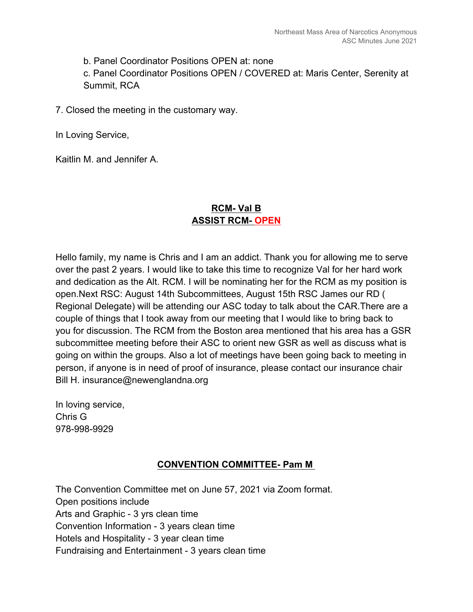b. Panel Coordinator Positions OPEN at: none

c. Panel Coordinator Positions OPEN / COVERED at: Maris Center, Serenity at Summit, RCA

7. Closed the meeting in the customary way.

In Loving Service,

Kaitlin M. and Jennifer A.

## **RCM- Val B ASSIST RCM- OPEN**

Hello family, my name is Chris and I am an addict. Thank you for allowing me to serve over the past 2 years. I would like to take this time to recognize Val for her hard work and dedication as the Alt. RCM. I will be nominating her for the RCM as my position is open.Next RSC: August 14th Subcommittees, August 15th RSC James our RD ( Regional Delegate) will be attending our ASC today to talk about the CAR.There are a couple of things that I took away from our meeting that I would like to bring back to you for discussion. The RCM from the Boston area mentioned that his area has a GSR subcommittee meeting before their ASC to orient new GSR as well as discuss what is going on within the groups. Also a lot of meetings have been going back to meeting in person, if anyone is in need of proof of insurance, please contact our insurance chair Bill H. insurance@newenglandna.org

In loving service, Chris G 978-998-9929

## **CONVENTION COMMITTEE- Pam M**

The Convention Committee met on June 57, 2021 via Zoom format. Open positions include Arts and Graphic - 3 yrs clean time Convention Information - 3 years clean time Hotels and Hospitality - 3 year clean time Fundraising and Entertainment - 3 years clean time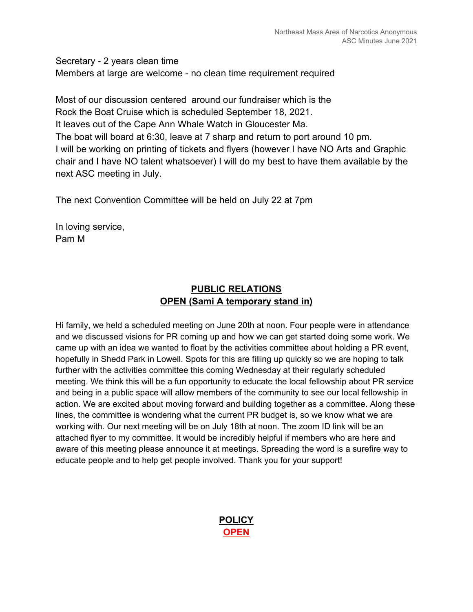Secretary - 2 years clean time Members at large are welcome - no clean time requirement required

Most of our discussion centered around our fundraiser which is the Rock the Boat Cruise which is scheduled September 18, 2021. It leaves out of the Cape Ann Whale Watch in Gloucester Ma. The boat will board at 6:30, leave at 7 sharp and return to port around 10 pm. I will be working on printing of tickets and flyers (however I have NO Arts and Graphic chair and I have NO talent whatsoever) I will do my best to have them available by the next ASC meeting in July.

The next Convention Committee will be held on July 22 at 7pm

In loving service, Pam M

## **PUBLIC RELATIONS OPEN (Sami A temporary stand in)**

Hi family, we held a scheduled meeting on June 20th at noon. Four people were in attendance and we discussed visions for PR coming up and how we can get started doing some work. We came up with an idea we wanted to float by the activities committee about holding a PR event, hopefully in Shedd Park in Lowell. Spots for this are filling up quickly so we are hoping to talk further with the activities committee this coming Wednesday at their regularly scheduled meeting. We think this will be a fun opportunity to educate the local fellowship about PR service and being in a public space will allow members of the community to see our local fellowship in action. We are excited about moving forward and building together as a committee. Along these lines, the committee is wondering what the current PR budget is, so we know what we are working with. Our next meeting will be on July 18th at noon. The zoom ID link will be an attached flyer to my committee. It would be incredibly helpful if members who are here and aware of this meeting please announce it at meetings. Spreading the word is a surefire way to educate people and to help get people involved. Thank you for your support!

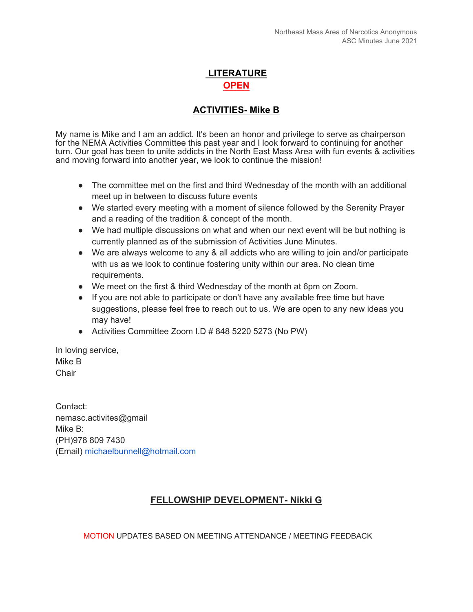# **LITERATURE OPEN**

## **ACTIVITIES- Mike B**

My name is Mike and I am an addict. It's been an honor and privilege to serve as chairperson for the NEMA Activities Committee this past year and I look forward to continuing for another turn. Our goal has been to unite addicts in the North East Mass Area with fun events & activities and moving forward into another year, we look to continue the mission!

- The committee met on the first and third Wednesday of the month with an additional meet up in between to discuss future events
- We started every meeting with a moment of silence followed by the Serenity Prayer and a reading of the tradition & concept of the month.
- We had multiple discussions on what and when our next event will be but nothing is currently planned as of the submission of Activities June Minutes.
- We are always welcome to any & all addicts who are willing to join and/or participate with us as we look to continue fostering unity within our area. No clean time requirements.
- We meet on the first & third Wednesday of the month at 6pm on Zoom.
- If you are not able to participate or don't have any available free time but have suggestions, please feel free to reach out to us. We are open to any new ideas you may have!
- Activities Committee Zoom I.D # 848 5220 5273 (No PW)

In loving service, Mike B Chair

Contact: nemasc.activites@gmail Mike B: (PH)978 809 7430 (Email) michaelbunnell@hotmail.com

#### **FELLOWSHIP DEVELOPMENT- Nikki G**

MOTION UPDATES BASED ON MEETING ATTENDANCE / MEETING FEEDBACK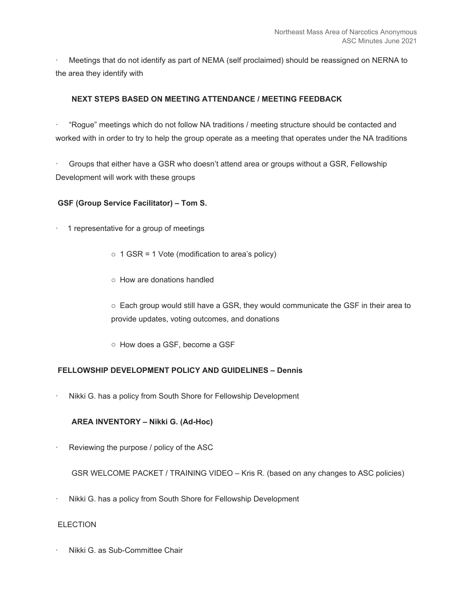· Meetings that do not identify as part of NEMA (self proclaimed) should be reassigned on NERNA to the area they identify with

#### **NEXT STEPS BASED ON MEETING ATTENDANCE / MEETING FEEDBACK**

· "Rogue" meetings which do not follow NA traditions / meeting structure should be contacted and worked with in order to try to help the group operate as a meeting that operates under the NA traditions

· Groups that either have a GSR who doesn't attend area or groups without a GSR, Fellowship Development will work with these groups

#### **GSF (Group Service Facilitator) – Tom S.**

- · 1 representative for a group of meetings
	- $\circ$  1 GSR = 1 Vote (modification to area's policy)
	- o How are donations handled

o Each group would still have a GSR, they would communicate the GSF in their area to provide updates, voting outcomes, and donations

o How does a GSF, become a GSF

#### **FELLOWSHIP DEVELOPMENT POLICY AND GUIDELINES – Dennis**

Nikki G. has a policy from South Shore for Fellowship Development

#### **AREA INVENTORY – Nikki G. (Ad-Hoc)**

Reviewing the purpose / policy of the ASC

GSR WELCOME PACKET / TRAINING VIDEO – Kris R. (based on any changes to ASC policies)

· Nikki G. has a policy from South Shore for Fellowship Development

#### ELECTION

· Nikki G. as Sub-Committee Chair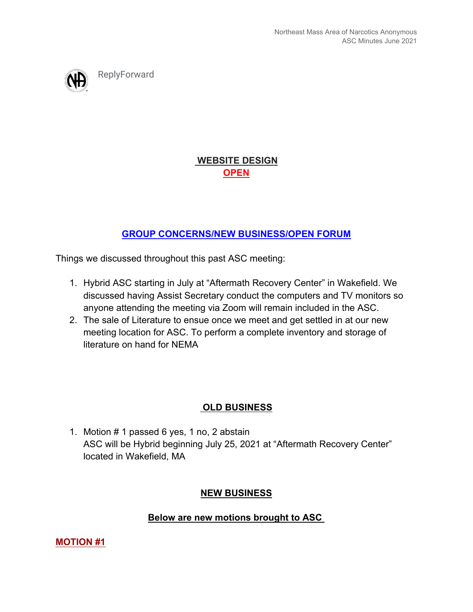ReplyForward

 **WEBSITE DESIGN OPEN**

# **GROUP CONCERNS/NEW BUSINESS/OPEN FORUM**

Things we discussed throughout this past ASC meeting:

- 1. Hybrid ASC starting in July at "Aftermath Recovery Center" in Wakefield. We discussed having Assist Secretary conduct the computers and TV monitors so anyone attending the meeting via Zoom will remain included in the ASC.
- 2. The sale of Literature to ensue once we meet and get settled in at our new meeting location for ASC. To perform a complete inventory and storage of literature on hand for NEMA

# **OLD BUSINESS**

1. Motion # 1 passed 6 yes, 1 no, 2 abstain ASC will be Hybrid beginning July 25, 2021 at "Aftermath Recovery Center" located in Wakefield, MA

# **NEW BUSINESS**

## **Below are new motions brought to ASC**

**MOTION #1**